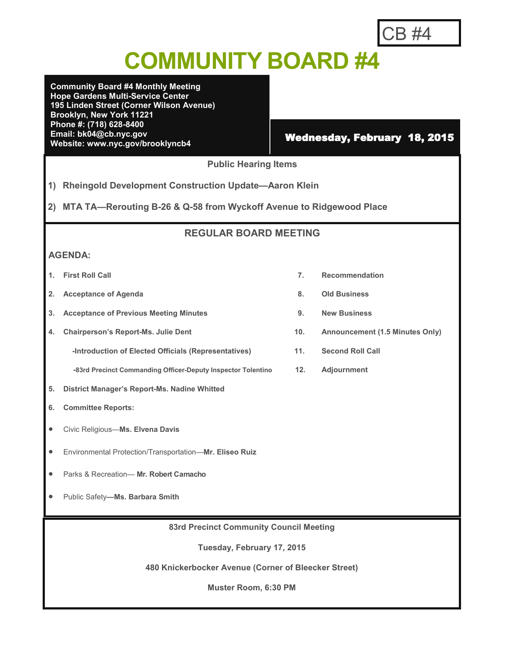# CB #4

# **COMMUNITY BOARD #4**

**Community Board #4 Monthly Meeting Hope Gardens Multi-Service Center 195 Linden Street (Corner Wilson Avenue) Brooklyn, New York 11221 Phone #: (718) 628-8400 Email: bk04@cb.nyc.gov** Email: bk04@cb.nyc.gov<br>Website: www.nyc.gov/brooklyncb4 **Wednesday, February 18, 2015** 

### **Public Hearing Items**

**1) Rheingold Development Construction Update—Aaron Klein**

**2) MTA TA—Rerouting B-26 & Q-58 from Wyckoff Avenue to Ridgewood Place**

### **REGULAR BOARD MEETING**

### **AGENDA:**

- 
- **2. Acceptance of Agenda 8. Old Business**
- **3. Acceptance of Previous Meeting Minutes 9. New Business**
- **4. Chairperson's Report-Ms. Julie Dent 10. Announcement (1.5 Minutes Only)**
	- **-Introduction of Elected Officials (Representatives) 11. Second Roll Call**
	- **-83rd Precinct Commanding Officer-Deputy Inspector Tolentino 12. Adjournment**
- **5. District Manager's Report-Ms. Nadine Whitted**
- **6. Committee Reports:**
- Civic Religious—**Ms. Elvena Davis**
- Environmental Protection/Transportation—**Mr. Eliseo Ruiz**
- Parks & Recreation— **Mr. Robert Camacho**
- Public Safety**—Ms. Barbara Smith**
	- **83rd Precinct Community Council Meeting**

**Tuesday, February 17, 2015**

**480 Knickerbocker Avenue (Corner of Bleecker Street)**

**Muster Room, 6:30 PM**

- **1. First Roll Call 7. Recommendation**
	-
	-
	-
	-
	-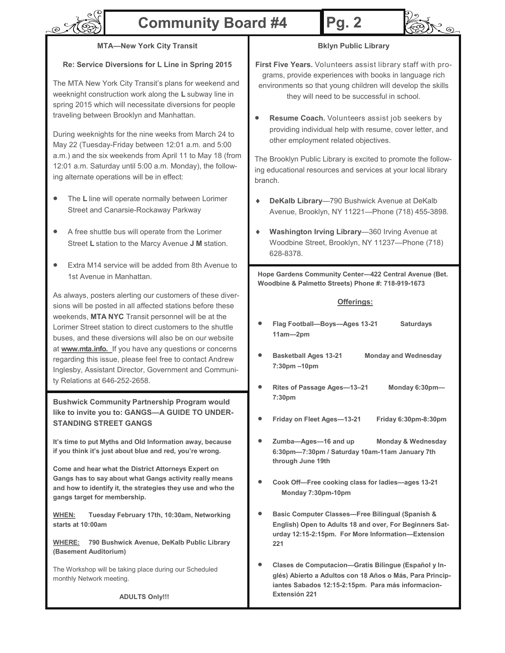

### **Community Board #4**

# **Pg. 2**



### **MTA—New York City Transit**

#### **Re: Service Diversions for L Line in Spring 2015**

The MTA New York City Transit's plans for weekend and weeknight construction work along the **L** subway line in spring 2015 which will necessitate diversions for people traveling between Brooklyn and Manhattan.

During weeknights for the nine weeks from March 24 to May 22 (Tuesday-Friday between 12:01 a.m. and 5:00 a.m.) and the six weekends from April 11 to May 18 (from 12:01 a.m. Saturday until 5:00 a.m. Monday), the following alternate operations will be in effect:

- The **L** line will operate normally between Lorimer Street and Canarsie-Rockaway Parkway
- A free shuttle bus will operate from the Lorimer Street **L** station to the Marcy Avenue **J M** station.
- Extra M14 service will be added from 8th Avenue to 1st Avenue in Manhattan.

As always, posters alerting our customers of these diversions will be posted in all affected stations before these weekends, **MTA NYC** Transit personnel will be at the Lorimer Street station to direct customers to the shuttle buses, and these diversions will also be on our website at **www.mta.info.** If you have any questions or concerns regarding this issue, please feel free to contact Andrew Inglesby, Assistant Director, Government and Community Relations at 646-252-2658.

**Bushwick Community Partnership Program would like to invite you to: GANGS—A GUIDE TO UNDER-STANDING STREET GANGS**

**It's time to put Myths and Old Information away, because if you think it's just about blue and red, you're wrong.**

**Come and hear what the District Attorneys Expert on Gangs has to say about what Gangs activity really means and how to identify it, the strategies they use and who the gangs target for membership.**

**WHEN: Tuesday February 17th, 10:30am, Networking starts at 10:00am**

**WHERE: 790 Bushwick Avenue, DeKalb Public Library (Basement Auditorium)**

The Workshop will be taking place during our Scheduled monthly Network meeting.

**Bklyn Public Library**

**First Five Years.** Volunteers assist library staff with programs, provide experiences with books in language rich environments so that young children will develop the skills they will need to be successful in school.

**Resume Coach.** Volunteers assist job seekers by providing individual help with resume, cover letter, and other employment related objectives.

The Brooklyn Public Library is excited to promote the following educational resources and services at your local library branch.

- **DeKalb Library**—790 Bushwick Avenue at DeKalb Avenue, Brooklyn, NY 11221—Phone (718) 455-3898.
- **Washington Irving Library**—360 Irving Avenue at Woodbine Street, Brooklyn, NY 11237—Phone (718) 628-8378.

**Hope Gardens Community Center—422 Central Avenue (Bet. Woodbine & Palmetto Streets) Phone #: 718-919-1673**

#### **Offerings:**

- **Flag Football—Boys—Ages 13-<sup>21</sup> Saturdays 11am—2pm**
- **Basketball Ages 13-<sup>21</sup> Monday and Wednesday 7:30pm –10pm**
- **Rites of Passage Ages—13–21 Monday 6:30pm— 7:30pm**
- **Friday on Fleet Ages—13-<sup>21</sup> Friday 6:30pm-8:30pm**
- **Zumba—Ages—16 and up Monday & Wednesday 6:30pm—7:30pm / Saturday 10am-11am January 7th through June 19th**
- **Cook Off—Free cooking class for ladies—ages 13-<sup>21</sup> Monday 7:30pm-10pm**
- **Basic Computer Classes—Free Bilingual (Spanish & English) Open to Adults 18 and over, For Beginners Saturday 12:15-2:15pm. For More Information—Extension 221**
- **Clases de Computacion—Gratis Bilingue (Español y Inglés) Abierto a Adultos con 18 Años o Más, Para Principiantes Sabados 12:15-2:15pm. Para más informacion-Extensión 221**

**ADULTS Only!!!**